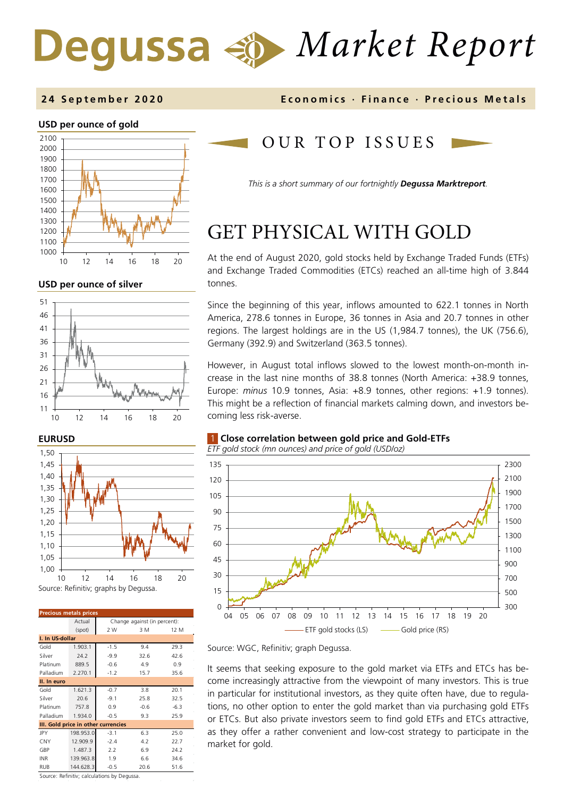# *Market Report*

### **2 4 September 2020 Economics · Finance · Precious M etals**

### **USD per ounce of gold**



#### **USD per ounce of silver**



### **EURUSD**



| <b>Precious metals prices</b>       |           |                              |        |        |  |  |  |  |  |
|-------------------------------------|-----------|------------------------------|--------|--------|--|--|--|--|--|
|                                     | Actual    | Change against (in percent): |        |        |  |  |  |  |  |
|                                     | (spot)    | 2 W<br>3 M<br>12 M           |        |        |  |  |  |  |  |
| I. In US-dollar                     |           |                              |        |        |  |  |  |  |  |
| Gold                                | 1.903.1   | $-1.5$                       | 9.4    | 29.3   |  |  |  |  |  |
| Silver                              | 24.2      | $-9.9$                       | 32.6   | 42.6   |  |  |  |  |  |
| Platinum                            | 889.5     | $-0.6$                       | 4.9    | 0.9    |  |  |  |  |  |
| Palladium                           | 2.270.1   | $-1.2$                       | 15.7   | 35.6   |  |  |  |  |  |
| II. In euro                         |           |                              |        |        |  |  |  |  |  |
| Gold                                | 1.621.3   | $-0.7$                       | 3.8    | 20.1   |  |  |  |  |  |
| Silver                              | 20.6      | $-9.1$                       | 25.8   | 32.5   |  |  |  |  |  |
| Platinum                            | 757.8     | 0.9                          | $-0.6$ | $-6.3$ |  |  |  |  |  |
| Palladium                           | 1.934.0   | $-0.5$                       | 9.3    | 25.9   |  |  |  |  |  |
| III. Gold price in other currencies |           |                              |        |        |  |  |  |  |  |
| JPY                                 | 198.953.0 | $-3.1$                       | 6.3    | 25.0   |  |  |  |  |  |
| CNY                                 | 12.909.9  | $-2.4$                       | 4.2    | 22.7   |  |  |  |  |  |
| GBP                                 | 1.487.3   | 2.2                          | 6.9    | 24.2   |  |  |  |  |  |
| <b>INR</b>                          | 139.963.8 | 1.9                          | 6.6    | 34.6   |  |  |  |  |  |
| RUB                                 | 144.628.3 | $-0.5$                       | 20.6   | 51.6   |  |  |  |  |  |

Source: Refinitiv; calculations by Degussa.

### OUR TOP ISSUE S

*This is a short summary of our fortnightly Degussa Marktreport.*

## GET PHYSICAL WITH GOLD

At the end of August 2020, gold stocks held by Exchange Traded Funds (ETFs) and Exchange Traded Commodities (ETCs) reached an all-time high of 3.844 tonnes.

Since the beginning of this year, inflows amounted to 622.1 tonnes in North America, 278.6 tonnes in Europe, 36 tonnes in Asia and 20.7 tonnes in other regions. The largest holdings are in the US (1,984.7 tonnes), the UK (756.6), Germany (392.9) and Switzerland (363.5 tonnes).

However, in August total inflows slowed to the lowest month-on-month increase in the last nine months of 38.8 tonnes (North America: +38.9 tonnes, Europe: *minus* 10.9 tonnes, Asia: +8.9 tonnes, other regions: +1.9 tonnes). This might be a reflection of financial markets calming down, and investors becoming less risk-averse.

### 1 **Close correlation between gold price and Gold-ETFs**

*ETF gold stock (mn ounces) and price of gold (USD/oz)*



Source: WGC, Refinitiv; graph Degussa.

It seems that seeking exposure to the gold market via ETFs and ETCs has become increasingly attractive from the viewpoint of many investors. This is true in particular for institutional investors, as they quite often have, due to regulations, no other option to enter the gold market than via purchasing gold ETFs or ETCs. But also private investors seem to find gold ETFs and ETCs attractive, as they offer a rather convenient and low-cost strategy to participate in the market for gold.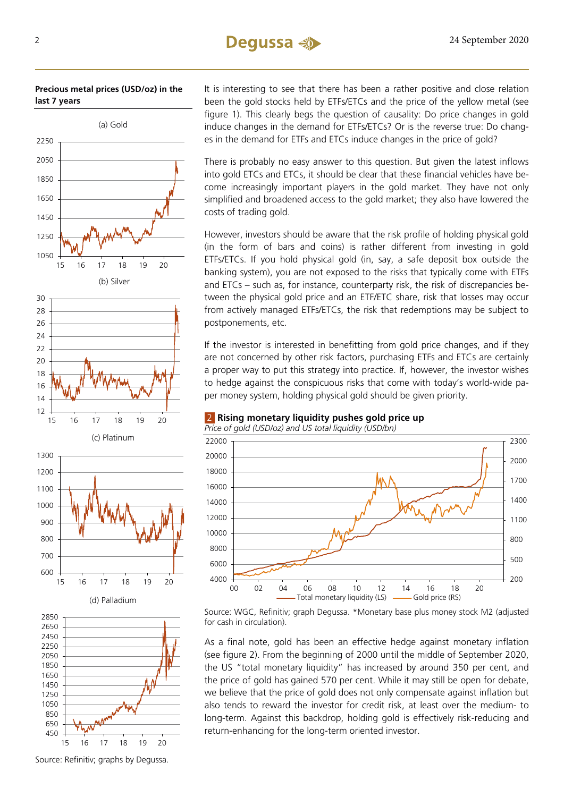### 2 24 September 2020

### **Precious metal prices (USD/oz) in the last 7 years**



It is interesting to see that there has been a rather positive and close relation been the gold stocks held by ETFs/ETCs and the price of the yellow metal (see figure 1). This clearly begs the question of causality: Do price changes in gold induce changes in the demand for ETFs/ETCs? Or is the reverse true: Do changes in the demand for ETFs and ETCs induce changes in the price of gold?

There is probably no easy answer to this question. But given the latest inflows into gold ETCs and ETCs, it should be clear that these financial vehicles have become increasingly important players in the gold market. They have not only simplified and broadened access to the gold market; they also have lowered the costs of trading gold.

However, investors should be aware that the risk profile of holding physical gold (in the form of bars and coins) is rather different from investing in gold ETFs/ETCs. If you hold physical gold (in, say, a safe deposit box outside the banking system), you are not exposed to the risks that typically come with ETFs and ETCs – such as, for instance, counterparty risk, the risk of discrepancies between the physical gold price and an ETF/ETC share, risk that losses may occur from actively managed ETFs/ETCs, the risk that redemptions may be subject to postponements, etc.

If the investor is interested in benefitting from gold price changes, and if they are not concerned by other risk factors, purchasing ETFs and ETCs are certainly a proper way to put this strategy into practice. If, however, the investor wishes to hedge against the conspicuous risks that come with today's world-wide paper money system, holding physical gold should be given priority.

### 2 **Rising monetary liquidity pushes gold price up**

*Price of gold (USD/oz) and US total liquidity (USD/bn)*



Source: WGC, Refinitiv; graph Degussa. \*Monetary base plus money stock M2 (adjusted for cash in circulation).

As a final note, gold has been an effective hedge against monetary inflation (see figure 2). From the beginning of 2000 until the middle of September 2020, the US "total monetary liquidity" has increased by around 350 per cent, and the price of gold has gained 570 per cent. While it may still be open for debate, we believe that the price of gold does not only compensate against inflation but also tends to reward the investor for credit risk, at least over the medium- to long-term. Against this backdrop, holding gold is effectively risk-reducing and return-enhancing for the long-term oriented investor.

Source: Refinitiv; graphs by Degussa.

15 16 17 18 19 20

450 650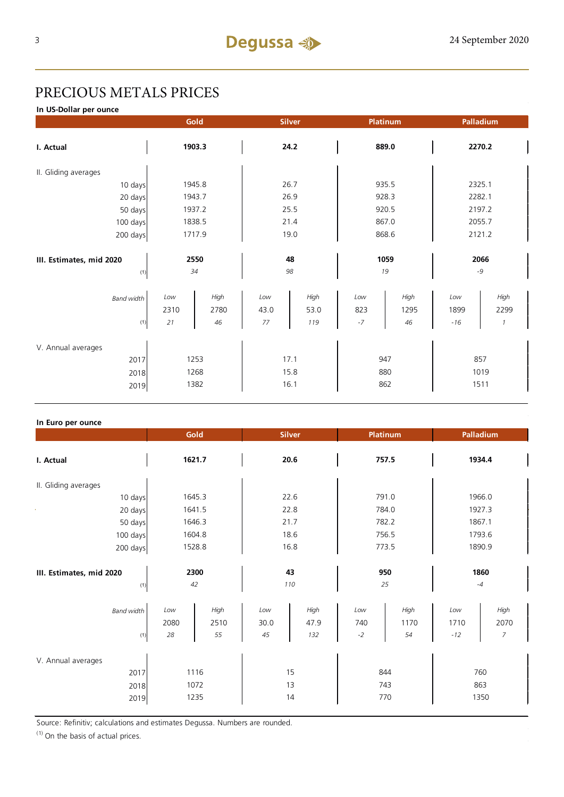### PRECIOUS METALS PRICES

**In US-Dollar per ounce**

|                          |            | Gold   |          | <b>Silver</b> |       | Platinum |        | Palladium     |  |
|--------------------------|------------|--------|----------|---------------|-------|----------|--------|---------------|--|
| I. Actual                | 1903.3     |        | 24.2     |               | 889.0 |          | 2270.2 |               |  |
| II. Gliding averages     |            |        |          |               |       |          |        |               |  |
| 10 days                  |            | 1945.8 |          | 26.7          |       | 935.5    | 2325.1 |               |  |
| 20 days                  |            | 1943.7 | 26.9     |               | 928.3 |          | 2282.1 |               |  |
| 50 days                  |            | 1937.2 | 25.5     |               |       | 920.5    | 2197.2 |               |  |
| 100 days                 |            | 1838.5 |          | 21.4          |       | 867.0    |        | 2055.7        |  |
| 200 days                 | 1717.9     |        | 19.0     |               | 868.6 |          | 2121.2 |               |  |
|                          |            |        |          |               |       |          |        |               |  |
| III. Estimates, mid 2020 | 2550<br>34 |        | 48<br>98 |               | 1059  |          | 2066   |               |  |
| (1)                      |            |        |          |               | 19    |          | $-9$   |               |  |
| <b>Band width</b>        | Low        | High   | Low      | High          | Low   | High     | Low    | High          |  |
|                          | 2310       | 2780   | 43.0     | 53.0          | 823   | 1295     | 1899   | 2299          |  |
| (1)                      | 21         | 46     | 77       | 119           | $-7$  | 46       | $-16$  | $\mathcal{I}$ |  |
|                          |            |        |          |               |       |          |        |               |  |
| V. Annual averages       |            |        |          |               |       |          |        |               |  |
| 2017                     | 1253       |        | 17.1     |               | 947   |          | 857    |               |  |
| 2018                     |            | 1268   |          | 15.8          |       | 880      | 1019   |               |  |
| 2019                     |            | 1382   | 16.1     |               |       | 862      | 1511   |               |  |

### **In Euro per ounce**

|                                            |                      | Gold               | <b>Silver</b>     |                     |                    | <b>Platinum</b>    | Palladium            |                   |
|--------------------------------------------|----------------------|--------------------|-------------------|---------------------|--------------------|--------------------|----------------------|-------------------|
| I. Actual                                  | 1621.7               |                    | 20.6              |                     | 757.5              |                    | 1934.4               |                   |
| II. Gliding averages                       |                      |                    |                   |                     |                    |                    |                      |                   |
| 10 days                                    |                      | 1645.3             | 22.6              |                     | 791.0              |                    | 1966.0               |                   |
| 20 days                                    |                      | 1641.5             | 22.8              |                     | 784.0              |                    | 1927.3               |                   |
| 50 days                                    |                      | 1646.3             | 21.7              |                     | 782.2              |                    | 1867.1               |                   |
| 100 days                                   | 1604.8               |                    | 18.6              |                     | 756.5              |                    | 1793.6               |                   |
| 200 days                                   | 1528.8               |                    | 16.8              |                     | 773.5              |                    | 1890.9               |                   |
| III. Estimates, mid 2020<br>(1)            | 2300<br>42           |                    | 43<br>110         |                     | 950<br>25          |                    | 1860<br>$-4$         |                   |
| <b>Band width</b><br>(1)                   | Low<br>2080<br>28    | High<br>2510<br>55 | Low<br>30.0<br>45 | High<br>47.9<br>132 | Low<br>740<br>$-2$ | High<br>1170<br>54 | Low<br>1710<br>$-12$ | High<br>2070<br>7 |
| V. Annual averages<br>2017<br>2018<br>2019 | 1116<br>1072<br>1235 |                    |                   | 15<br>13<br>14      |                    | 844<br>743<br>770  | 760<br>863<br>1350   |                   |

Source: Refinitiv; calculations and estimates Degussa. Numbers are rounded.

 $(1)$  On the basis of actual prices.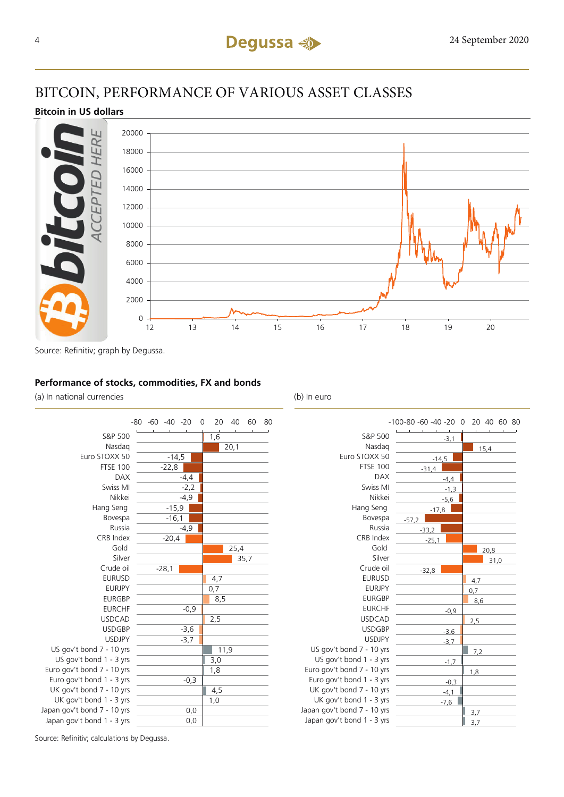### BITCOIN, PERFORMANCE OF VARIOUS ASSET CLASSES

### **Bitcoin in US dollars**



Source: Refinitiv; graph by Degussa.

### **Performance of stocks, commodities, FX and bonds**

(a) In national currencies (b) In euro

|                             | $-80 -60 -40 -20$ |         |        | 0   | 20  | 40   | 60   | 80 |
|-----------------------------|-------------------|---------|--------|-----|-----|------|------|----|
| S&P 500                     |                   |         |        |     | 1,6 |      |      |    |
| Nasdag                      |                   |         |        |     |     | 20,1 |      |    |
| Euro STOXX 50               |                   | $-14,5$ |        |     |     |      |      |    |
| <b>FTSE 100</b>             |                   | $-22,8$ |        |     |     |      |      |    |
| <b>DAX</b>                  |                   |         | -4,4   |     |     |      |      |    |
| Swiss MI                    |                   |         | $-2,2$ |     |     |      |      |    |
| Nikkei                      |                   |         | $-4,9$ |     |     |      |      |    |
| Hang Seng                   |                   | $-15,9$ |        |     |     |      |      |    |
| Bovespa                     |                   | $-16,1$ |        |     |     |      |      |    |
| Russia                      |                   |         | -4,9   |     |     |      |      |    |
| CRB Index                   |                   | $-20,4$ |        |     |     |      |      |    |
| Gold                        |                   |         |        |     |     |      | 25,4 |    |
| Silver                      |                   |         |        |     |     |      | 35,7 |    |
| Crude oil                   |                   | $-28,1$ |        |     |     |      |      |    |
| <b>EURUSD</b>               |                   |         |        |     | 4,7 |      |      |    |
| <b>EURJPY</b>               |                   |         |        |     | 0,7 |      |      |    |
| <b>EURGBP</b>               |                   |         |        |     | 8,5 |      |      |    |
| <b>EURCHF</b>               |                   |         | $-0,9$ |     |     |      |      |    |
| <b>USDCAD</b>               |                   |         |        |     | 2,5 |      |      |    |
| <b>USDGBP</b>               |                   |         | $-3,6$ |     |     |      |      |    |
| <b>USDJPY</b>               |                   |         | -3,7   |     |     |      |      |    |
| US gov't bond 7 - 10 yrs    |                   |         |        |     |     | 11,9 |      |    |
| US gov't bond 1 - 3 yrs     |                   |         |        |     | 3,0 |      |      |    |
| Euro gov't bond 7 - 10 yrs  |                   |         |        |     | 1,8 |      |      |    |
| Euro gov't bond 1 - 3 yrs   |                   |         | $-0,3$ |     |     |      |      |    |
| UK gov't bond 7 - 10 yrs    |                   |         |        |     | 4,5 |      |      |    |
| UK gov't bond 1 - 3 yrs     |                   |         |        |     | 1,0 |      |      |    |
| Japan gov't bond 7 - 10 yrs |                   |         |        | 0,0 |     |      |      |    |
| Japan gov't bond 1 - 3 yrs  |                   |         |        | 0,0 |     |      |      |    |



Source: Refinitiv; calculations by Degussa.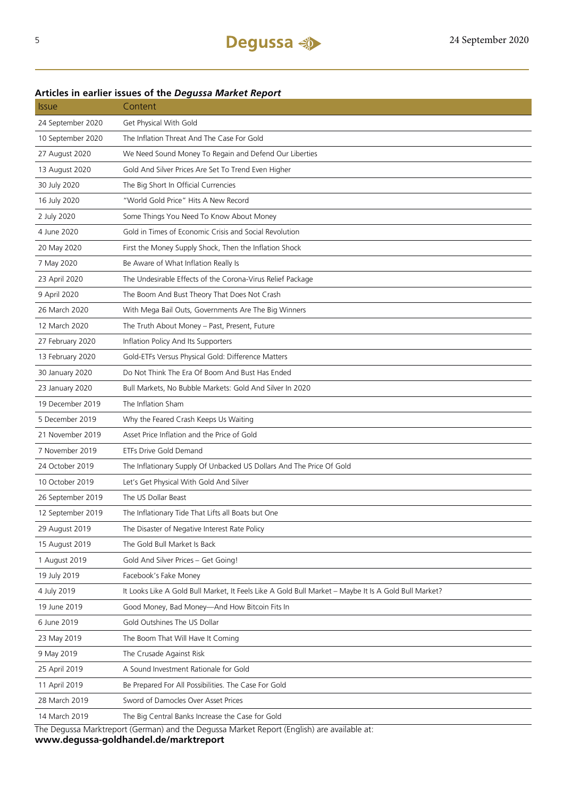### 24 September 2020 Get Physical With Gold 10 September 2020 The Inflation Threat And The Case For Gold 27 August 2020 We Need Sound Money To Regain and Defend Our Liberties 13 August 2020 Gold And Silver Prices Are Set To Trend Even Higher 30 July 2020 The Big Short In Official Currencies 16 July 2020 "World Gold Price" Hits A New Record 2 July 2020 Some Things You Need To Know About Money 4 June 2020 Gold in Times of Economic Crisis and Social Revolution 20 May 2020 First the Money Supply Shock, Then the Inflation Shock 7 May 2020 Be Aware of What Inflation Really Is 23 April 2020 The Undesirable Effects of the Corona-Virus Relief Package 9 April 2020 The Boom And Bust Theory That Does Not Crash 26 March 2020 With Mega Bail Outs, Governments Are The Big Winners 12 March 2020 The Truth About Money – Past, Present, Future 27 February 2020 Inflation Policy And Its Supporters 13 February 2020 Gold-ETFs Versus Physical Gold: Difference Matters 30 January 2020 Do Not Think The Era Of Boom And Bust Has Ended 23 January 2020 Bull Markets, No Bubble Markets: Gold And Silver In 2020 19 December 2019 The Inflation Sham 5 December 2019 Why the Feared Crash Keeps Us Waiting 21 November 2019 Asset Price Inflation and the Price of Gold 7 November 2019 ETFs Drive Gold Demand 24 October 2019 The Inflationary Supply Of Unbacked US Dollars And The Price Of Gold 10 October 2019 Let's Get Physical With Gold And Silver 26 September 2019 The US Dollar Beast 12 September 2019 The Inflationary Tide That Lifts all Boats but One 29 August 2019 The Disaster of Negative Interest Rate Policy 15 August 2019 The Gold Bull Market Is Back 1 August 2019 Gold And Silver Prices – Get Going! 19 July 2019 Facebook's Fake Money 4 July 2019 It Looks Like A Gold Bull Market, It Feels Like A Gold Bull Market – Maybe It Is A Gold Bull Market? 19 June 2019 Good Money, Bad Money—And How Bitcoin Fits In 6 June 2019 Gold Outshines The US Dollar 23 May 2019 The Boom That Will Have It Coming 9 May 2019 The Crusade Against Risk 25 April 2019 A Sound Investment Rationale for Gold 11 April 2019 Be Prepared For All Possibilities. The Case For Gold 28 March 2019 Sword of Damocles Over Asset Prices 14 March 2019 The Big Central Banks Increase the Case for Gold

**Articles in earlier issues of the** *Degussa Market Report*

Issue Content

The Degussa Marktreport (German) and the Degussa Market Report (English) are available at: **www.degussa-goldhandel.de/marktreport**